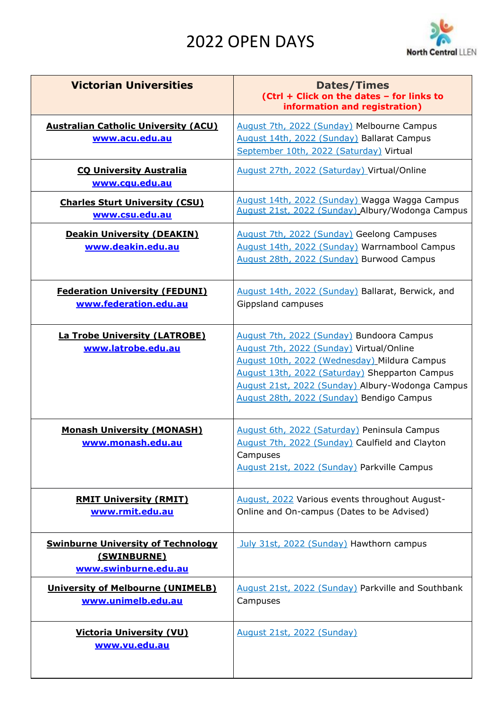## 2022 OPEN DAYS



| <b>Victorian Universities</b>                                                    | <b>Dates/Times</b><br>(Ctrl + Click on the dates - for links to<br>information and registration)                                                                                                                                                                                         |
|----------------------------------------------------------------------------------|------------------------------------------------------------------------------------------------------------------------------------------------------------------------------------------------------------------------------------------------------------------------------------------|
| <b>Australian Catholic University (ACU)</b><br>www.acu.edu.au                    | August 7th, 2022 (Sunday) Melbourne Campus<br>August 14th, 2022 (Sunday) Ballarat Campus<br>September 10th, 2022 (Saturday) Virtual                                                                                                                                                      |
| <b>CQ University Australia</b><br>www.cqu.edu.au                                 | August 27th, 2022 (Saturday) Virtual/Online                                                                                                                                                                                                                                              |
| <b>Charles Sturt University (CSU)</b><br>www.csu.edu.au                          | August 14th, 2022 (Sunday) Wagga Wagga Campus<br>August 21st, 2022 (Sunday) Albury/Wodonga Campus                                                                                                                                                                                        |
| <b>Deakin University (DEAKIN)</b><br>www.deakin.edu.au                           | August 7th, 2022 (Sunday) Geelong Campuses<br>August 14th, 2022 (Sunday) Warrnambool Campus<br>August 28th, 2022 (Sunday) Burwood Campus                                                                                                                                                 |
| <b>Federation University (FEDUNI)</b><br>www.federation.edu.au                   | August 14th, 2022 (Sunday) Ballarat, Berwick, and<br>Gippsland campuses                                                                                                                                                                                                                  |
| <b>La Trobe University (LATROBE)</b><br>www.latrobe.edu.au                       | August 7th, 2022 (Sunday) Bundoora Campus<br>August 7th, 2022 (Sunday) Virtual/Online<br>August 10th, 2022 (Wednesday) Mildura Campus<br>August 13th, 2022 (Saturday) Shepparton Campus<br>August 21st, 2022 (Sunday) Albury-Wodonga Campus<br>August 28th, 2022 (Sunday) Bendigo Campus |
| <b>Monash University (MONASH)</b><br>www.monash.edu.au                           | August 6th, 2022 (Saturday) Peninsula Campus<br>August 7th, 2022 (Sunday) Caulfield and Clayton<br>Campuses<br>August 21st, 2022 (Sunday) Parkville Campus                                                                                                                               |
| <b>RMIT University (RMIT)</b><br>www.rmit.edu.au                                 | August, 2022 Various events throughout August-<br>Online and On-campus (Dates to be Advised)                                                                                                                                                                                             |
| <b>Swinburne University of Technology</b><br>(SWINBURNE)<br>www.swinburne.edu.au | July 31st, 2022 (Sunday) Hawthorn campus                                                                                                                                                                                                                                                 |
| <b>University of Melbourne (UNIMELB)</b><br>www.unimelb.edu.au                   | August 21st, 2022 (Sunday) Parkville and Southbank<br>Campuses                                                                                                                                                                                                                           |
| <b>Victoria University (VU)</b><br>www.vu.edu.au                                 | <b>August 21st, 2022 (Sunday)</b>                                                                                                                                                                                                                                                        |